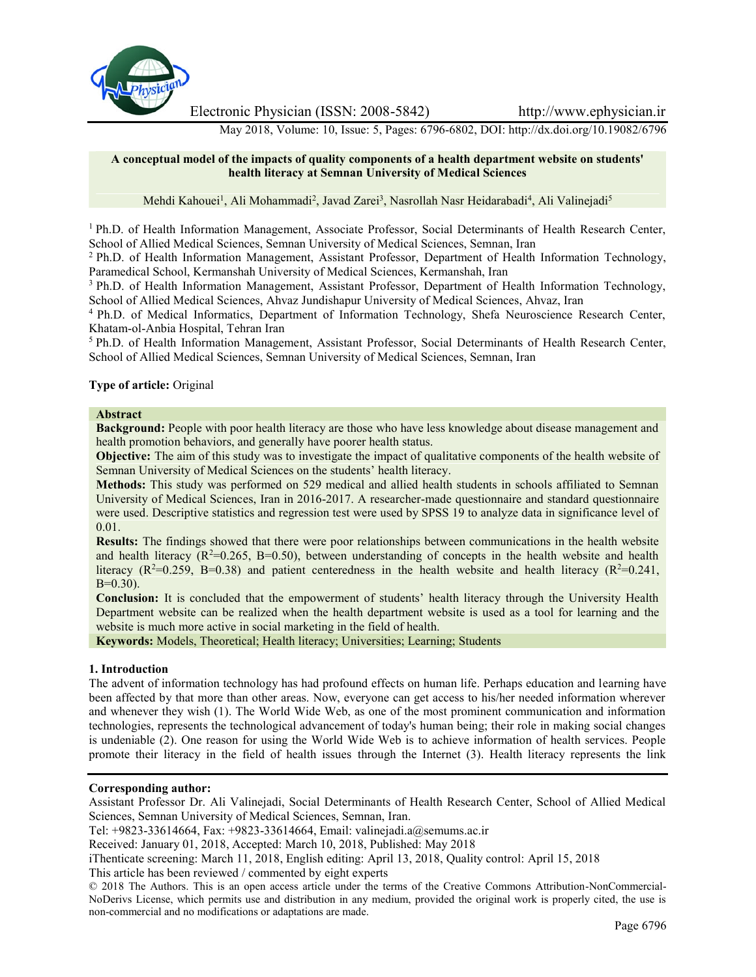

Electronic Physician (ISSN: 2008-5842) http://www.ephysician.ir

May 2018, Volume: 10, Issue: 5, Pages: 6796-6802, DOI: http://dx.doi.org/10.19082/6796

### **A conceptual model of the impacts of quality components of a health department website on students' health literacy at Semnan University of Medical Sciences**

Mehdi Kahouei<sup>1</sup>, Ali Mohammadi<sup>2</sup>, Javad Zarei<sup>3</sup>, Nasrollah Nasr Heidarabadi<sup>4</sup>, Ali Valinejadi<sup>5</sup>

<sup>1</sup> Ph.D. of Health Information Management, Associate Professor, Social Determinants of Health Research Center, School of Allied Medical Sciences, Semnan University of Medical Sciences, Semnan, Iran

<sup>2</sup> Ph.D. of Health Information Management, Assistant Professor, Department of Health Information Technology, Paramedical School, Kermanshah University of Medical Sciences, Kermanshah, Iran

<sup>3</sup> Ph.D. of Health Information Management, Assistant Professor, Department of Health Information Technology, School of Allied Medical Sciences, Ahvaz Jundishapur University of Medical Sciences, Ahvaz, Iran

<sup>4</sup> Ph.D. of Medical Informatics, Department of Information Technology, Shefa Neuroscience Research Center, Khatam-ol-Anbia Hospital, Tehran Iran

<sup>5</sup> Ph.D. of Health Information Management, Assistant Professor, Social Determinants of Health Research Center, School of Allied Medical Sciences, Semnan University of Medical Sciences, Semnan, Iran

## **Type of article:** Original

### **Abstract**

**Background:** People with poor health literacy are those who have less knowledge about disease management and health promotion behaviors, and generally have poorer health status.

**Objective:** The aim of this study was to investigate the impact of qualitative components of the health website of Semnan University of Medical Sciences on the students' health literacy.

**Methods:** This study was performed on 529 medical and allied health students in schools affiliated to Semnan University of Medical Sciences, Iran in 2016-2017. A researcher-made questionnaire and standard questionnaire were used. Descriptive statistics and regression test were used by SPSS 19 to analyze data in significance level of 0.01.

**Results:** The findings showed that there were poor relationships between communications in the health website and health literacy  $(R^2=0.265, B=0.50)$ , between understanding of concepts in the health website and health literacy ( $R^2=0.259$ , B=0.38) and patient centeredness in the health website and health literacy ( $R^2=0.241$ ,  $B=0.30$ ).

**Conclusion:** It is concluded that the empowerment of students' health literacy through the University Health Department website can be realized when the health department website is used as a tool for learning and the website is much more active in social marketing in the field of health.

**Keywords:** Models, Theoretical; Health literacy; Universities; Learning; Students

#### **1. Introduction**

The advent of information technology has had profound effects on human life. Perhaps education and learning have been affected by that more than other areas. Now, everyone can get access to his/her needed information wherever and whenever they wish (1). The World Wide Web, as one of the most prominent communication and information technologies, represents the technological advancement of today's human being; their role in making social changes is undeniable (2). One reason for using the World Wide Web is to achieve information of health services. People promote their literacy in the field of health issues through the Internet (3). Health literacy represents the link

# **Corresponding author:**

Assistant Professor Dr. Ali Valinejadi, Social Determinants of Health Research Center, School of Allied Medical Sciences, Semnan University of Medical Sciences, Semnan, Iran.

Tel: +9823-33614664, Fax: +9823-33614664, Email: valinejadi.a@semums.ac.ir

Received: January 01, 2018, Accepted: March 10, 2018, Published: May 2018

iThenticate screening: March 11, 2018, English editing: April 13, 2018, Quality control: April 15, 2018

This article has been reviewed / commented by eight experts

© 2018 The Authors. This is an open access article under the terms of the Creative Commons Attribution-NonCommercial- NoDerivs License, which permits use and distribution in any medium, provided the original work is properly cited, the use is non-commercial and no modifications or adaptations are made.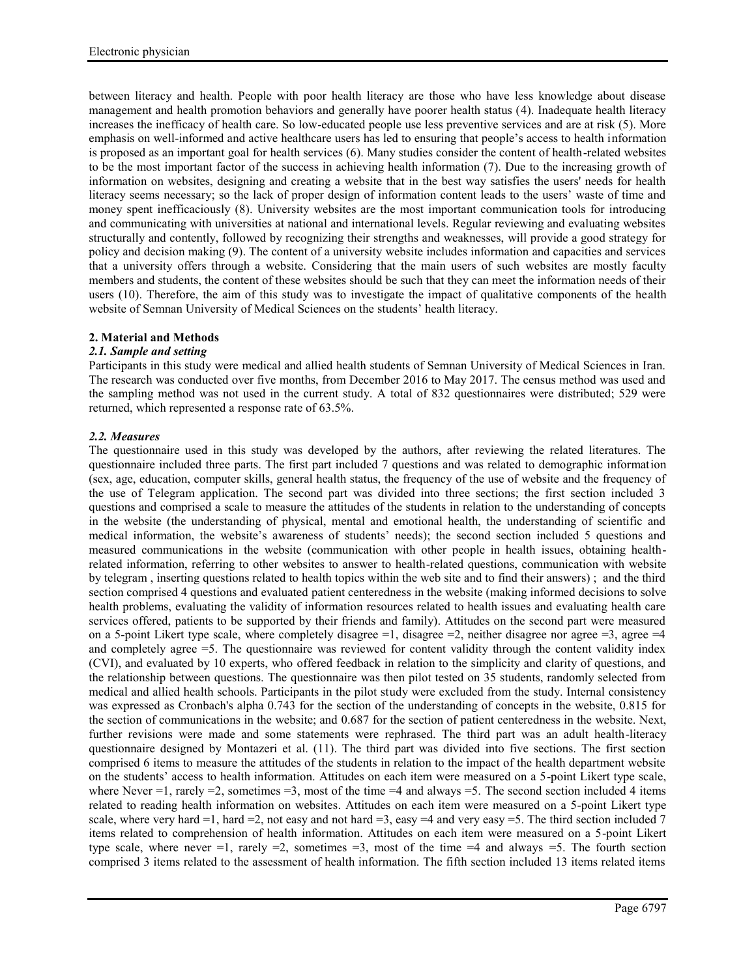between literacy and health. People with poor health literacy are those who have less knowledge about disease management and health promotion behaviors and generally have poorer health status (4). Inadequate health literacy increases the inefficacy of health care. So low-educated people use less preventive services and are at risk (5). More emphasis on well-informed and active healthcare users has led to ensuring that people's access to health information is proposed as an important goal for health services (6). Many studies consider the content of health-related websites to be the most important factor of the success in achieving health information (7). Due to the increasing growth of information on websites, designing and creating a website that in the best way satisfies the users' needs for health literacy seems necessary; so the lack of proper design of information content leads to the users' waste of time and money spent inefficaciously (8). University websites are the most important communication tools for introducing and communicating with universities at national and international levels. Regular reviewing and evaluating websites structurally and contently, followed by recognizing their strengths and weaknesses, will provide a good strategy for policy and decision making (9). The content of a university website includes information and capacities and services that a university offers through a website. Considering that the main users of such websites are mostly faculty members and students, the content of these websites should be such that they can meet the information needs of their users (10). Therefore, the aim of this study was to investigate the impact of qualitative components of the health website of Semnan University of Medical Sciences on the students' health literacy.

# **2. Material and Methods**

# *2.1. Sample and setting*

Participants in this study were medical and allied health students of Semnan University of Medical Sciences in Iran. The research was conducted over five months, from December 2016 to May 2017. The census method was used and the sampling method was not used in the current study. A total of 832 questionnaires were distributed; 529 were returned, which represented a response rate of 63.5%.

# *2.2. Measures*

The questionnaire used in this study was developed by the authors, after reviewing the related literatures. The questionnaire included three parts. The first part included 7 questions and was related to demographic information (sex, age, education, computer skills, general health status, the frequency of the use of website and the frequency of the use of Telegram application. The second part was divided into three sections; the first section included 3 questions and comprised a scale to measure the attitudes of the students in relation to the understanding of concepts in the website (the understanding of physical, mental and emotional health, the understanding of scientific and medical information, the website's awareness of students' needs); the second section included 5 questions and measured communications in the website (communication with other people in health issues, obtaining healthrelated information, referring to other websites to answer to health-related questions, communication with website by telegram , inserting questions related to health topics within the web site and to find their answers) ; and the third section comprised 4 questions and evaluated patient centeredness in the website (making informed decisions to solve health problems, evaluating the validity of information resources related to health issues and evaluating health care services offered, patients to be supported by their friends and family). Attitudes on the second part were measured on a 5-point Likert type scale, where completely disagree  $=1$ , disagree  $=2$ , neither disagree nor agree  $=3$ , agree  $=4$ and completely agree =5. The questionnaire was reviewed for content validity through the content validity index (CVI), and evaluated by 10 experts, who offered feedback in relation to the simplicity and clarity of questions, and the relationship between questions. The questionnaire was then pilot tested on 35 students, randomly selected from medical and allied health schools. Participants in the pilot study were excluded from the study. Internal consistency was expressed as Cronbach's alpha 0.743 for the section of the understanding of concepts in the website, 0.815 for the section of communications in the website; and 0.687 for the section of patient centeredness in the website. Next, further revisions were made and some statements were rephrased. The third part was an adult health-literacy questionnaire designed by Montazeri et al. (11). The third part was divided into five sections. The first section comprised 6 items to measure the attitudes of the students in relation to the impact of the health department website on the students' access to health information. Attitudes on each item were measured on a 5-point Likert type scale, where Never =1, rarely =2, sometimes =3, most of the time =4 and always =5. The second section included 4 items related to reading health information on websites. Attitudes on each item were measured on a 5-point Likert type scale, where very hard  $=1$ , hard  $=2$ , not easy and not hard  $=3$ , easy  $=4$  and very easy  $=5$ . The third section included 7 items related to comprehension of health information. Attitudes on each item were measured on a 5-point Likert type scale, where never  $=1$ , rarely  $=2$ , sometimes  $=3$ , most of the time  $=4$  and always  $=5$ . The fourth section comprised 3 items related to the assessment of health information. The fifth section included 13 items related items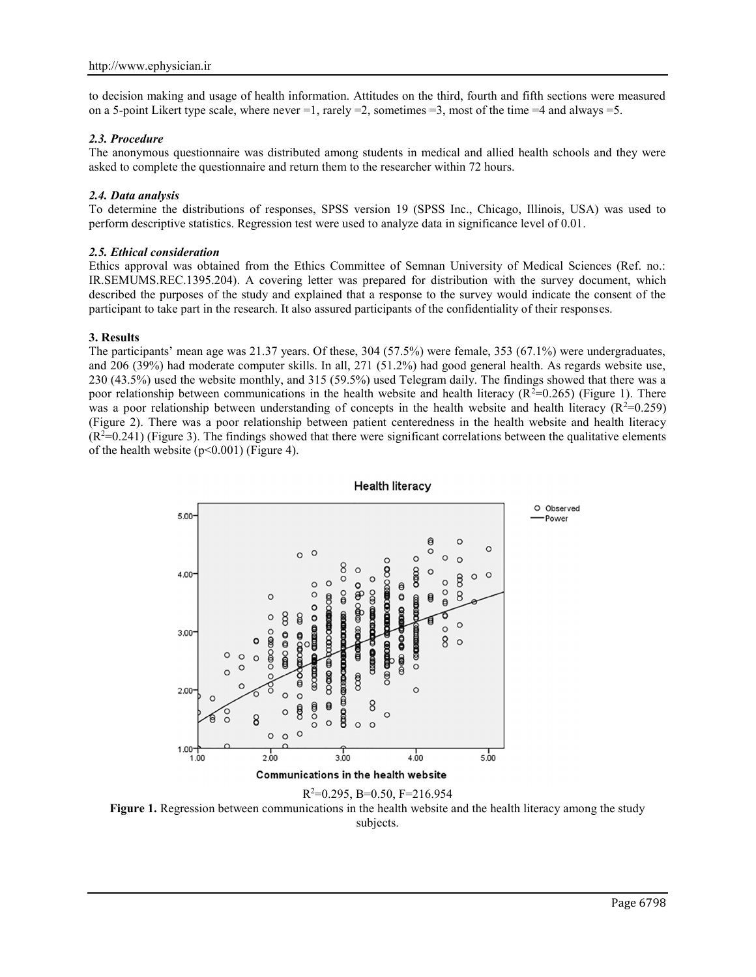to decision making and usage of health information. Attitudes on the third, fourth and fifth sections were measured on a 5-point Likert type scale, where never =1, rarely =2, sometimes =3, most of the time =4 and always =5.

## *2.3. Procedure*

The anonymous questionnaire was distributed among students in medical and allied health schools and they were asked to complete the questionnaire and return them to the researcher within 72 hours.

### *2.4. Data analysis*

To determine the distributions of responses, SPSS version 19 (SPSS Inc., Chicago, Illinois, USA) was used to perform descriptive statistics. Regression test were used to analyze data in significance level of 0.01.

#### *2.5. Ethical consideration*

Ethics approval was obtained from the Ethics Committee of Semnan University of Medical Sciences (Ref. no.: IR.SEMUMS.REC.1395.204). A covering letter was prepared for distribution with the survey document, which described the purposes of the study and explained that a response to the survey would indicate the consent of the participant to take part in the research. It also assured participants of the confidentiality of their responses.

#### **3. Results**

The participants' mean age was 21.37 years. Of these, 304 (57.5%) were female, 353 (67.1%) were undergraduates, and 206 (39%) had moderate computer skills. In all, 271 (51.2%) had good general health. As regards website use, 230 (43.5%) used the website monthly, and 315 (59.5%) used Telegram daily. The findings showed that there was a poor relationship between communications in the health website and health literacy ( $R^2=0.265$ ) (Figure 1). There was a poor relationship between understanding of concepts in the health website and health literacy ( $R^2=0.259$ ) (Figure 2). There was a poor relationship between patient centeredness in the health website and health literacy  $(R<sup>2</sup>=0.241)$  (Figure 3). The findings showed that there were significant correlations between the qualitative elements of the health website  $(p<0.001)$  (Figure 4).



**Health literacy** 



Figure 1. Regression between communications in the health website and the health literacy among the study subjects.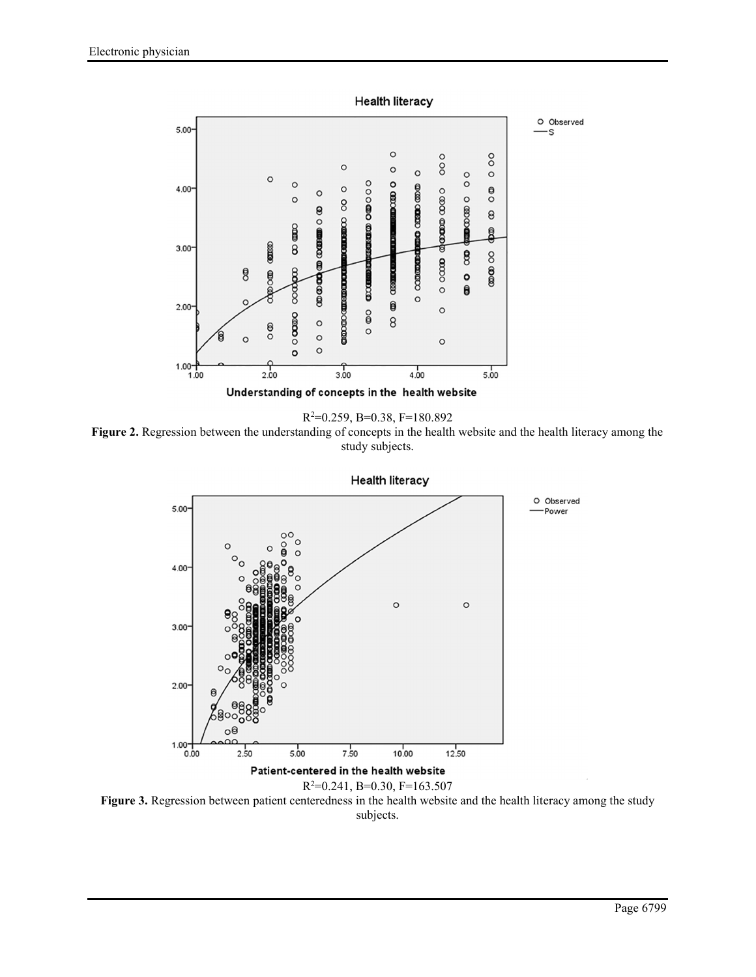

R <sup>2</sup>=0.259, B=0.38, F=180.892

**Figure 2.** Regression between the understanding of concepts in the health website and the health literacy among the study subjects.



**Figure 3.** Regression between patient centeredness in the health website and the health literacy among the study subjects.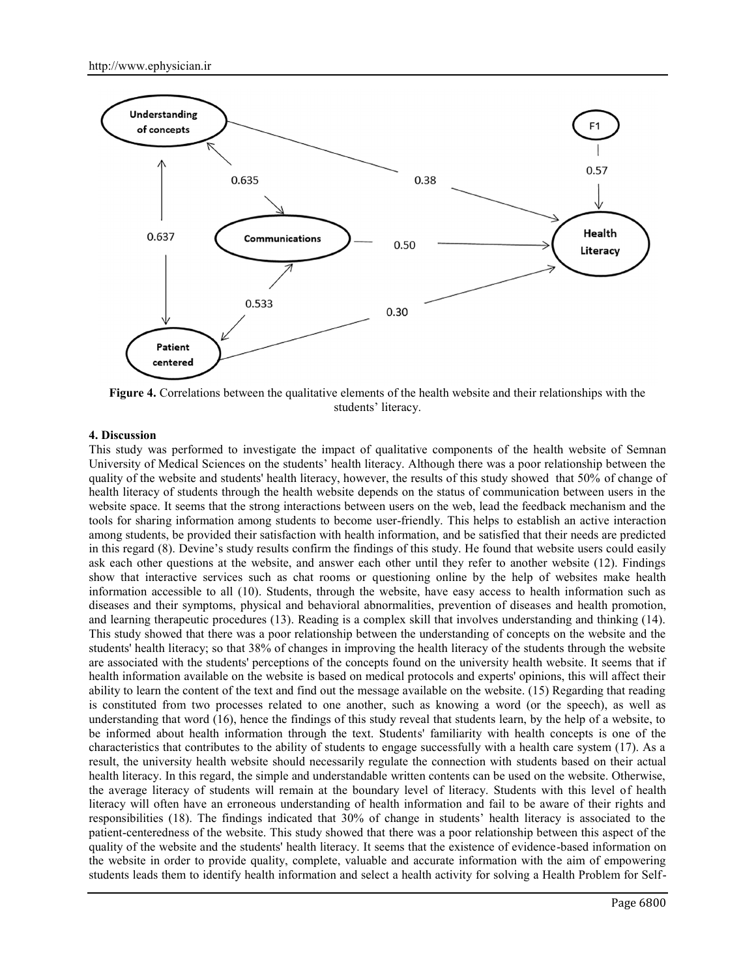

**Figure 4.** Correlations between the qualitative elements of the health website and their relationships with the students' literacy.

### **4. Discussion**

This study was performed to investigate the impact of qualitative components of the health website of Semnan University of Medical Sciences on the students' health literacy. Although there was a poor relationship between the quality of the website and students' health literacy, however, the results of this study showed that 50% of change of health literacy of students through the health website depends on the status of communication between users in the website space. It seems that the strong interactions between users on the web, lead the feedback mechanism and the tools for sharing information among students to become user-friendly. This helps to establish an active interaction among students, be provided their satisfaction with health information, and be satisfied that their needs are predicted in this regard (8). Devine's study results confirm the findings of this study. He found that website users could easily ask each other questions at the website, and answer each other until they refer to another website (12). Findings show that interactive services such as chat rooms or questioning online by the help of websites make health information accessible to all (10). Students, through the website, have easy access to health information such as diseases and their symptoms, physical and behavioral abnormalities, prevention of diseases and health promotion, and learning therapeutic procedures (13). Reading is a complex skill that involves understanding and thinking (14). This study showed that there was a poor relationship between the understanding of concepts on the website and the students' health literacy; so that 38% of changes in improving the health literacy of the students through the website are associated with the students' perceptions of the concepts found on the university health website. It seems that if health information available on the website is based on medical protocols and experts' opinions, this will affect their ability to learn the content of the text and find out the message available on the website. (15) Regarding that reading is constituted from two processes related to one another, such as knowing a word (or the speech), as well as understanding that word (16), hence the findings of this study reveal that students learn, by the help of a website, to be informed about health information through the text. Students' familiarity with health concepts is one of the characteristics that contributes to the ability of students to engage successfully with a health care system (17). As a result, the university health website should necessarily regulate the connection with students based on their actual health literacy. In this regard, the simple and understandable written contents can be used on the website. Otherwise, the average literacy of students will remain at the boundary level of literacy. Students with this level of health literacy will often have an erroneous understanding of health information and fail to be aware of their rights and responsibilities (18). The findings indicated that 30% of change in students' health literacy is associated to the patient-centeredness of the website. This study showed that there was a poor relationship between this aspect of the quality of the website and the students' health literacy. It seems that the existence of evidence-based information on the website in order to provide quality, complete, valuable and accurate information with the aim of empowering students leads them to identify health information and select a health activity for solving a Health Problem for Self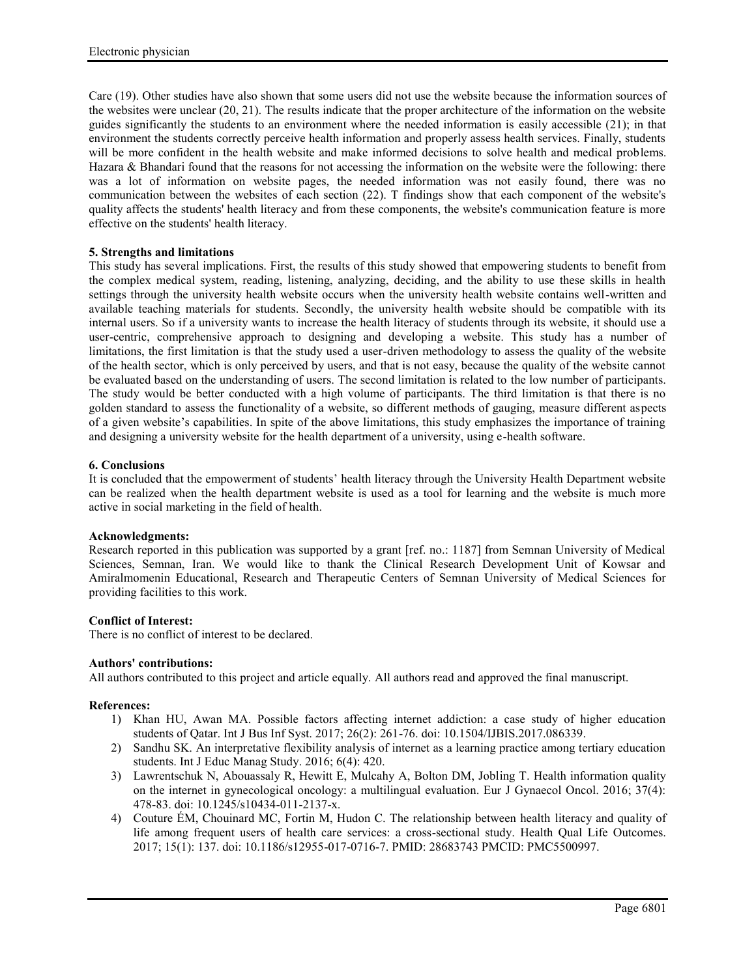Care (19). Other studies have also shown that some users did not use the website because the information sources of the websites were unclear (20, 21). The results indicate that the proper architecture of the information on the website guides significantly the students to an environment where the needed information is easily accessible (21); in that environment the students correctly perceive health information and properly assess health services. Finally, students will be more confident in the health website and make informed decisions to solve health and medical problems. Hazara & Bhandari found that the reasons for not accessing the information on the website were the following: there was a lot of information on website pages, the needed information was not easily found, there was no communication between the websites of each section (22). T findings show that each component of the website's quality affects the students' health literacy and from these components, the website's communication feature is more effective on the students' health literacy.

# **5. Strengths and limitations**

This study has several implications. First, the results of this study showed that empowering students to benefit from the complex medical system, reading, listening, analyzing, deciding, and the ability to use these skills in health settings through the university health website occurs when the university health website contains well-written and available teaching materials for students. Secondly, the university health website should be compatible with its internal users. So if a university wants to increase the health literacy of students through its website, it should use a user-centric, comprehensive approach to designing and developing a website. This study has a number of limitations, the first limitation is that the study used a user-driven methodology to assess the quality of the website of the health sector, which is only perceived by users, and that is not easy, because the quality of the website cannot be evaluated based on the understanding of users. The second limitation is related to the low number of participants. The study would be better conducted with a high volume of participants. The third limitation is that there is no golden standard to assess the functionality of a website, so different methods of gauging, measure different aspects of a given website's capabilities. In spite of the above limitations, this study emphasizes the importance of training and designing a university website for the health department of a university, using e-health software.

# **6. Conclusions**

It is concluded that the empowerment of students' health literacy through the University Health Department website can be realized when the health department website is used as a tool for learning and the website is much more active in social marketing in the field of health.

# **Acknowledgments:**

Research reported in this publication was supported by a grant [ref. no.: 1187] from Semnan University of Medical Sciences, Semnan, Iran. We would like to thank the Clinical Research Development Unit of Kowsar and Amiralmomenin Educational, Research and Therapeutic Centers of Semnan University of Medical Sciences for providing facilities to this work.

# **Conflict of Interest:**

There is no conflict of interest to be declared.

# **Authors' contributions:**

All authors contributed to this project and article equally. All authors read and approved the final manuscript.

# **References:**

- 1) Khan HU, Awan MA. Possible factors affecting internet addiction: a case study of higher education students of Qatar. Int J Bus Inf Syst. 2017; 26(2): 261-76. doi: 10.1504/IJBIS.2017.086339.
- 2) Sandhu SK. An interpretative flexibility analysis of internet as a learning practice among tertiary education students. Int J Educ Manag Study. 2016; 6(4): 420.
- 3) Lawrentschuk N, Abouassaly R, Hewitt E, Mulcahy A, Bolton DM, Jobling T. Health information quality on the internet in gynecological oncology: a multilingual evaluation. Eur J Gynaecol Oncol. 2016; 37(4): 478-83. doi: 10.1245/s10434-011-2137-x.
- 4) Couture ÉM, Chouinard MC, Fortin M, Hudon C. The relationship between health literacy and quality of life among frequent users of health care services: a cross-sectional study. Health Qual Life Outcomes. 2017; 15(1): 137. doi: 10.1186/s12955-017-0716-7. PMID: 28683743 PMCID: PMC5500997.